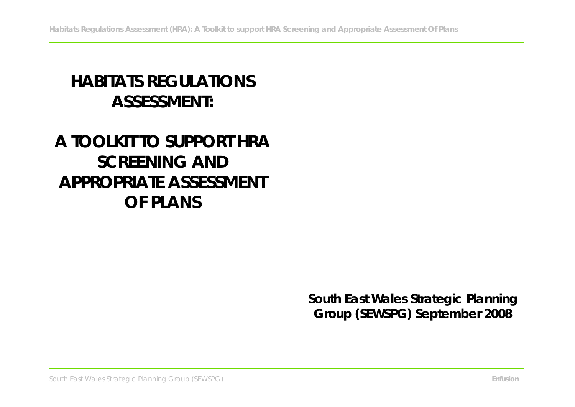# **HABITATS REGULATIONS ASSESSMENT:**

# **A TOOLKIT TO SUPPORT HRA SCREENING AND APPROPRIATE ASSESSMENT OF PLANS**

**South East Wales Strategic Planning Group (SEWSPG) September 2008**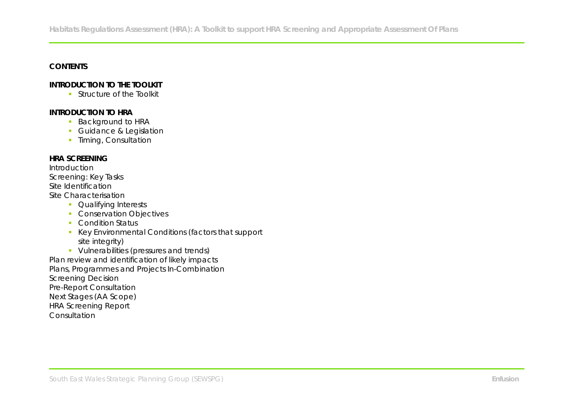# **CONTENTS**

# **INTRODUCTION TO THE TOOLKIT**

**Structure of the Toolkit** 

# **INTRODUCTION TO HRA**

- **Background to HRA**
- **Guidance & Legislation**
- **Timing, Consultation**

## **HRA SCREENING**

Introduction Screening: Key Tasks Site Identification Site Characterisation

- **Qualifying Interests**
- **Conservation Objectives**
- **Condition Status**
- Key Environmental Conditions (factors that support site integrity)
- **Vulnerabilities (pressures and trends)**

Plan review and identification of likely impacts Plans, Programmes and Projects In-Combination Screening Decision Pre-Report Consultation Next Stages (AA Scope) HRA Screening Report Consultation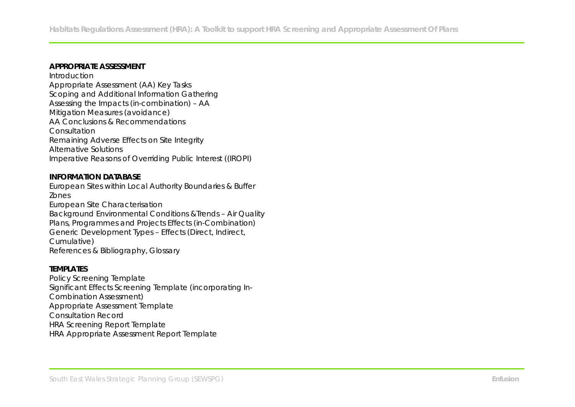#### **APPROPRIATE ASSESSMENT**

Introduction Appropriate Assessment (AA) Key Tasks Scoping and Additional Information Gathering Assessing the Impacts (in-combination) – AA Mitigation Measures (avoidance) AA Conclusions & Recommendations **Consultation** Remaining Adverse Effects on Site Integrity Alternative Solutions Imperative Reasons of Overriding Public Interest ((IROPI)

#### **INFORMATION DATABASE**

European Sites within Local Authority Boundaries & Buffer Zones European Site Characterisation Background Environmental Conditions &Trends – Air Quality Plans, Programmes and Projects Effects (in-Combination) Generic Development Types – Effects (Direct, Indirect,

Cumulative) References & Bibliography, Glossary

#### **TEMPLATES**

Policy Screening Template Significant Effects Screening Template (incorporating In-Combination Assessment) Appropriate Assessment Template Consultation Record HRA Screening Report Template HRA Appropriate Assessment Report Template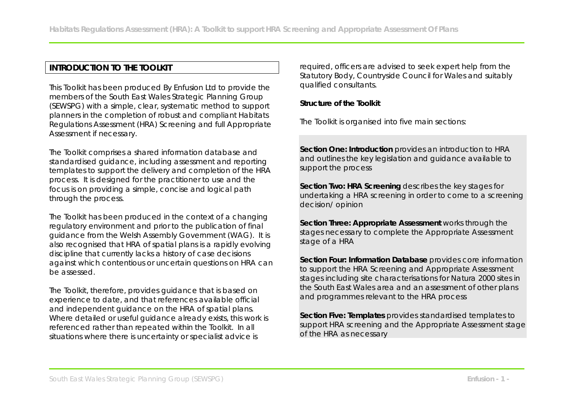# **INTRODUCTION TO THE TOOLKIT**

This Toolkit has been produced By Enfusion Ltd to provide the members of the South East Wales Strategic Planning Group (SEWSPG) with a simple, clear, systematic method to support planners in the completion of robust and compliant Habitats Regulations Assessment (HRA) Screening and full Appropriate Assessment if necessary.

The Toolkit comprises a shared information database and standardised guidance, including assessment and reporting templates to support the delivery and completion of the HRA process. It is designed for the practitioner to use and the focus is on providing a simple, concise and logical path through the process.

The Toolkit has been produced in the context of a changing regulatory environment and prior to the publication of final guidance from the Welsh Assembly Government (WAG). It is also recognised that HRA of spatial plans is a rapidly evolving discipline that currently lacks a history of case decisions against which contentious or uncertain questions on HRA can be assessed.

The Toolkit, therefore, provides guidance that is based on experience to date, and that references available official and independent guidance on the HRA of spatial plans. Where detailed or useful guidance already exists, this work is referenced rather than repeated within the Toolkit. In all situations where there is uncertainty or specialist advice is

required, officers are advised to seek expert help from the Statutory Body, Countryside Council for Wales and suitably qualified consultants.

**Structure of the Toolkit**

The Toolkit is organised into five main sections:

**Section One: Introduction** provides an introduction to HRA and outlines the key legislation and guidance available to support the process

**Section Two: HRA Screening** describes the key stages for undertaking a HRA screening in order to come to a screening decision/ opinion

**Section Three: Appropriate Assessment** works through the stages necessary to complete the Appropriate Assessment stage of a HRA

**Section Four: Information Database** provides core information to support the HRA Screening and Appropriate Assessment stages including site characterisations for Natura 2000 sites in the South East Wales area and an assessment of other plans and programmes relevant to the HRA process

**Section Five: Templates** provides standardised templates to support HRA screening and the Appropriate Assessment stage of the HRA as necessary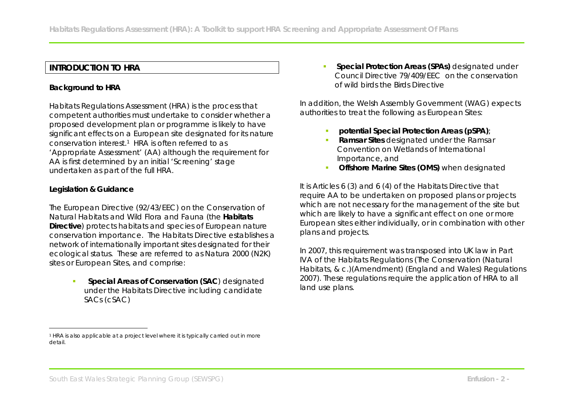# **INTRODUCTION TO HRA**

# **Background to HRA**

Habitats Regulations Assessment (HRA) is the process that competent authorities must undertake to consider whether a proposed development plan or programme is likely to have significant effects on a European site designated for its nature conservation interest.1 HRA is often referred to as 'Appropriate Assessment' (AA) although the requirement for AA is first determined by an initial 'Screening' stage undertaken as part of the full HRA.

## **Legislation & Guidance**

 $\overline{a}$ 

The European Directive (92/43/EEC) on the Conservation of Natural Habitats and Wild Flora and Fauna (the **Habitats Directive**) protects habitats and species of European nature conservation importance. The Habitats Directive establishes a network of internationally important sites designated for their ecological status. These are referred to as Natura 2000 (N2K) sites or European Sites, and comprise:

> **Special Areas of Conservation (SAC**) designated under the Habitats Directive including candidate SACs (cSAC)

 **Special Protection Areas (SPAs)** designated under Council Directive 79/409/EEC on the conservation of wild birds the Birds Directive

In addition, the Welsh Assembly Government (WAG) expects authorities to treat the following as European Sites:

- **potential Special Protection Areas (pSPA)**;
- **Ramsar Sites designated under the Ramsar** Convention on Wetlands of International Importance, and
- **Offshore Marine Sites (OMS) when designated**

It is Articles 6 (3) and 6 (4) of the Habitats Directive that require AA to be undertaken on proposed plans or projects which are not necessary for the management of the site but which are likely to have a significant effect on one or more European sites either individually, or in combination with other plans and projects.

In 2007, this requirement was transposed into UK law in Part IVA of the Habitats Regulations (The Conservation (Natural Habitats, & c.)(Amendment) (England and Wales) Regulations 2007). These regulations require the application of HRA to all land use plans.

<sup>1</sup> HRA is also applicable at a project level where it is typically carried out in more detail.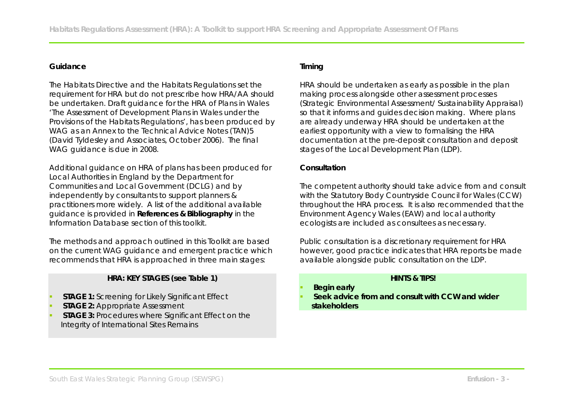# **Guidance**

The Habitats Directive and the Habitats Regulations set the requirement for HRA but do not prescribe how HRA/AA should be undertaken. Draft guidance for the HRA of Plans in Wales 'The Assessment of Development Plans in Wales under the Provisions of the Habitats Regulations', has been produced by WAG as an Annex to the Technical Advice Notes (TAN)5 (David Tyldesley and Associates, October 2006). The final WAG guidance is due in 2008.

Additional guidance on HRA of plans has been produced for Local Authorities in England by the Department for Communities and Local Government (DCLG) and by independently by consultants to support planners & practitioners more widely. A list of the additional available guidance is provided in **References & Bibliography** in the Information Database section of this toolkit.

The methods and approach outlined in this Toolkit are based on the current WAG guidance and emergent practice which recommends that HRA is approached in three main stages:

**HRA: KEY STAGES (see Table 1)**

- **STAGE 1:** Screening for Likely Significant Effect
- **STAGE 2:** Appropriate Assessment
- **STAGE 3:** Procedures where Significant Effect on the Integrity of International Sites Remains

# **Timing**

HRA should be undertaken as early as possible in the plan making process alongside other assessment processes (Strategic Environmental Assessment/ Sustainability Appraisal) so that it informs and guides decision making. Where plans are already underway HRA should be undertaken at the earliest opportunity with a view to formalising the HRA documentation at the pre-deposit consultation and deposit stages of the Local Development Plan (LDP).

## **Consultation**

The competent authority should take advice from and consult with the Statutory Body Countryside Council for Wales (CCW) throughout the HRA process. It is also recommended that the Environment Agency Wales (EAW) and local authority ecologists are included as consultees as necessary.

Public consultation is a discretionary requirement for HRA however, good practice indicates that HRA reports be made available alongside public consultation on the LDP.

# **HINTS & TIPS!**

- **Begin early**
- **Seek advice from and consult with CCW and wider stakeholders**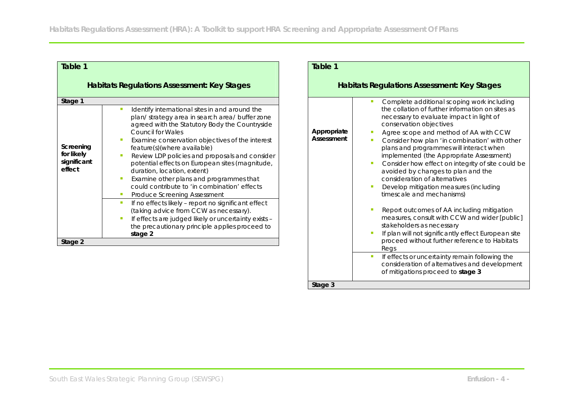| Table 1                                                                |                                                                                                                                                                                                                                                                                                                                                                                                                                                                                                                                                                                                                                                                                                                                                                                                                           | Table 1                                                                                                                                                                                                                                                                                                                                                                                                                                                                                                                                                                                                                                                                                                                                                                                                                            |
|------------------------------------------------------------------------|---------------------------------------------------------------------------------------------------------------------------------------------------------------------------------------------------------------------------------------------------------------------------------------------------------------------------------------------------------------------------------------------------------------------------------------------------------------------------------------------------------------------------------------------------------------------------------------------------------------------------------------------------------------------------------------------------------------------------------------------------------------------------------------------------------------------------|------------------------------------------------------------------------------------------------------------------------------------------------------------------------------------------------------------------------------------------------------------------------------------------------------------------------------------------------------------------------------------------------------------------------------------------------------------------------------------------------------------------------------------------------------------------------------------------------------------------------------------------------------------------------------------------------------------------------------------------------------------------------------------------------------------------------------------|
| Habitats Regulations Assessment: Key Stages                            |                                                                                                                                                                                                                                                                                                                                                                                                                                                                                                                                                                                                                                                                                                                                                                                                                           | Habitats Regulations Assessment: Key Stages                                                                                                                                                                                                                                                                                                                                                                                                                                                                                                                                                                                                                                                                                                                                                                                        |
| Stage 1<br>Screening<br>for likely<br>significant<br>effect<br>Stage 2 | Identify international sites in and around the<br>$\blacksquare$<br>plan/ strategy area in search area/ buffer zone<br>agreed with the Statutory Body the Countryside<br><b>Council for Wales</b><br>Examine conservation objectives of the interest<br>feature(s)(where available)<br>Review LDP policies and proposals and consider<br>potential effects on European sites (magnitude,<br>duration, location, extent)<br>Examine other plans and programmes that<br>$\blacksquare$<br>could contribute to 'in combination' effects<br>Produce Screening Assessment<br>If no effects likely - report no significant effect<br>$\mathcal{L}_{\mathcal{A}}$<br>(taking advice from CCW as necessary).<br>If effects are judged likely or uncertainty exists -<br>the precautionary principle applies proceed to<br>stage 2 | Complete additional scoping work including<br>the collation of further information on sites as<br>necessary to evaluate impact in light of<br>conservation objectives<br>Appropriate<br>Agree scope and method of AA with CCW<br>Assessment<br>Consider how plan 'in combination' with other<br>plans and programmes will interact when<br>implemented (the Appropriate Assessment)<br>Consider how effect on integrity of site could be<br>avoided by changes to plan and the<br>consideration of alternatives<br>Develop mitigation measures (including<br>timescale and mechanisms)<br>Report outcomes of AA including mitigation<br>measures, consult with CCW and wider [public]<br>stakeholders as necessary<br>If plan will not significantly effect European site<br>proceed without further reference to Habitats<br>Regs |
|                                                                        |                                                                                                                                                                                                                                                                                                                                                                                                                                                                                                                                                                                                                                                                                                                                                                                                                           | If effects or uncertainty remain following the<br>consideration of alternatives and development<br>of mitigations proceed to stage 3                                                                                                                                                                                                                                                                                                                                                                                                                                                                                                                                                                                                                                                                                               |

**Stage 3**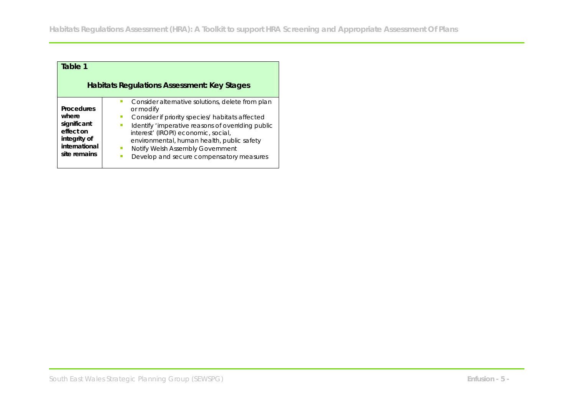| Table 1                                                                                          |                                                                                                                                                                                                                                                                                                                                            |  |  |
|--------------------------------------------------------------------------------------------------|--------------------------------------------------------------------------------------------------------------------------------------------------------------------------------------------------------------------------------------------------------------------------------------------------------------------------------------------|--|--|
| Habitats Regulations Assessment: Key Stages                                                      |                                                                                                                                                                                                                                                                                                                                            |  |  |
| Procedures<br>where<br>significant<br>effect on<br>integrity of<br>international<br>site remains | Consider alternative solutions, delete from plan<br>or modify<br>Consider if priority species/ habitats affected<br>Identify 'imperative reasons of overriding public<br>interest' (IROPI) economic, social,<br>environmental, human health, public safety<br>Notify Welsh Assembly Government<br>Develop and secure compensatory measures |  |  |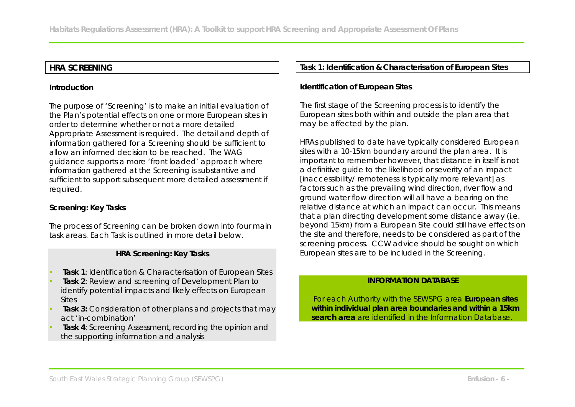# **HRA SCREENING**

### **Introduction**

The purpose of 'Screening' is to make an initial evaluation of the Plan's potential effects on one or more European sites in order to determine whether or not a more detailed Appropriate Assessment is required. The detail and depth of information gathered for a Screening should be sufficient to allow an informed decision to be reached. The WAG guidance supports a more 'front loaded' approach where information gathered at the Screening is substantive and sufficient to support subsequent more detailed assessment if required.

## **Screening: Key Tasks**

The process of Screening can be broken down into four main task areas. Each Task is outlined in more detail below.

## **HRA Screening: Key Tasks**

- **Task 1**: Identification & Characterisation of European Sites
- **Task 2**: Review and screening of Development Plan to identify potential impacts and likely effects on European **Sites**
- **Task 3:** Consideration of other plans and projects that may act 'in-combination'
- **Task 4**: Screening Assessment, recording the opinion and the supporting information and analysis

## **Task 1: Identification & Characterisation of European Sites**

**Identification of European Sites**

The first stage of the Screening process is to identify the European sites both within and outside the plan area that may be affected by the plan.

HRAs published to date have typically considered European sites with a 10-15km boundary around the plan area. It is important to remember however, that distance in itself is not a definitive guide to the likelihood or severity of an impact [inaccessibility/ remoteness is typically more relevant] as factors such as the prevailing wind direction, river flow and ground water flow direction will all have a bearing on the relative distance at which an impact can occur. This means that a plan directing development some distance away (i.e. beyond 15km) from a European Site could still have effects on the site and therefore, needs to be considered as part of the screening process. CCW advice should be sought on which European sites are to be included in the Screening.

# **INFORMATION DATABASE**

 For each Authority with the SEWSPG area **European sites within individual plan area boundaries and within a 15km search area** are identified in the Information Database.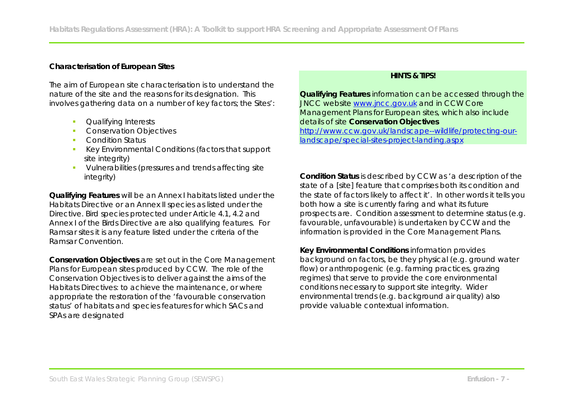## **Characterisation of European Sites**

The aim of European site characterisation is to understand the nature of the site and the reasons for its designation. This involves gathering data on a number of key factors; the Sites':

- **Cualifying Interests**
- **Conservation Objectives**
- **Condition Status**
- Key Environmental Conditions (factors that support site integrity)
- **•** Vulnerabilities (pressures and trends affecting site integrity)

**Qualifying Features** will be an Annex I habitats listed under the Habitats Directive or an Annex II species as listed under the Directive. Bird species protected under Article 4.1, 4.2 and Annex I of the Birds Directive are also qualifying features. For Ramsar sites it is any feature listed under the criteria of the Ramsar Convention.

**Conservation Objectives** are set out in the Core Management Plans for European sites produced by CCW. The role of the Conservation Objectives is to deliver against the aims of the Habitats Directives: to achieve the maintenance, or where appropriate the restoration of the 'favourable conservation status' of habitats and species features for which SACs and SPAs are designated

## **HINTS & TIPS!**

**Qualifying Features** information can be accessed through the JNCC website www.jncc.gov.uk and in CCW Core Management Plans for European sites, which also include details of site **Conservation Objectives**  http://www.ccw.gov.uk/landscape--wildlife/protecting-ourlandscape/special-sites-project-landing.aspx

**Condition Status** is described by CCW as 'a description of the state of a [site] feature that comprises both its condition and the state of factors likely to affect it'. In other words it tells you both how a site is currently faring and what its future prospects are. Condition assessment to determine status (e.g. favourable, unfavourable) is undertaken by CCW and the information is provided in the Core Management Plans.

**Key Environmental Conditions** information provides background on factors, be they physical (e.g. ground water flow) or anthropogenic (e.g. farming practices, grazing regimes) that serve to provide the core environmental conditions necessary to support site integrity. Wider environmental trends (e.g. background air quality) also provide valuable contextual information.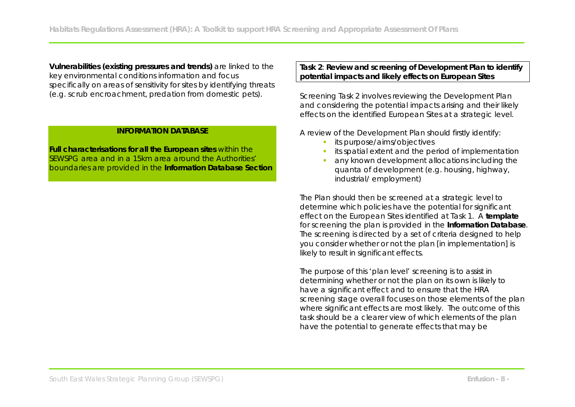**Vulnerabilities (existing pressures and trends)** are linked to the key environmental conditions information and focus specifically on areas of sensitivity for sites by identifying threats (e.g. scrub encroachment, predation from domestic pets).

## **INFORMATION DATABASE**

**Full characterisations for all the European sites** within the SEWSPG area and in a 15km area around the Authorities' boundaries are provided in the **Information Database Section** **Task 2**: **Review and screening of Development Plan to identify potential impacts and likely effects on European Sites**

Screening Task 2 involves reviewing the Development Plan and considering the potential impacts arising and their likely effects on the identified European Sites at a strategic level.

A review of the Development Plan should firstly identify:

- its purpose/aims/objectives
- its spatial extent and the period of implementation
- any known development allocations including the quanta of development (e.g. housing, highway, industrial/ employment)

The Plan should then be screened at a strategic level to determine which policies have the potential for significant effect on the European Sites identified at Task 1. A **template** for screening the plan is provided in the **Information Database**. The screening is directed by a set of criteria designed to help you consider whether or not the plan [in implementation] is likely to result in significant effects.

The purpose of this 'plan level' screening is to assist in determining whether or not the plan on its own is likely to have a significant effect and to ensure that the HRA screening stage overall focuses on those elements of the plan where significant effects are most likely. The outcome of this task should be a clearer view of which elements of the plan have the potential to generate effects that may be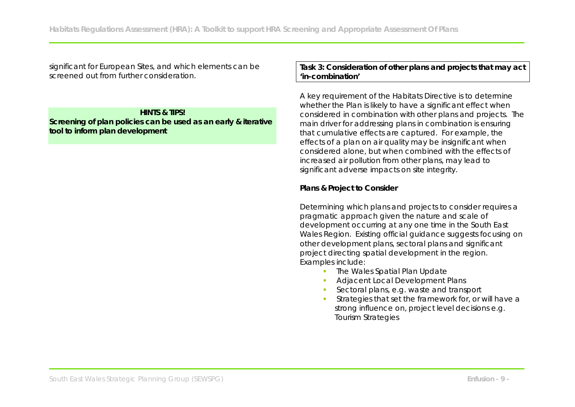significant for European Sites, and which elements can be screened out from further consideration.

## **HINTS & TIPS!**

**Screening of plan policies can be used as an early & iterative tool to inform plan development**

**Task 3: Consideration of other plans and projects that may act 'in-combination'**

A key requirement of the Habitats Directive is to determine whether the Plan is likely to have a significant effect when considered in combination with other plans and projects. The main driver for addressing plans in combination is ensuring that cumulative effects are captured. For example, the effects of a plan on air quality may be insignificant when considered alone, but when combined with the effects of increased air pollution from other plans, may lead to significant adverse impacts on site integrity.

**Plans & Project to Consider**

Determining which plans and projects to consider requires a pragmatic approach given the nature and scale of development occurring at any one time in the South East Wales Region. Existing official guidance suggests focusing on other development plans, sectoral plans and significant project directing spatial development in the region. Examples include:

- The Wales Spatial Plan Update
- Adjacent Local Development Plans
- Sectoral plans, e.g. waste and transport
- Strategies that set the framework for, or will have a strong influence on, project level decisions e.g. Tourism Strategies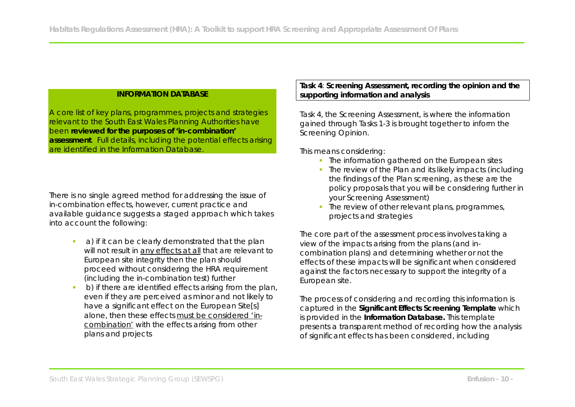# **INFORMATION DATABASE**

A core list of key plans, programmes, projects and strategies relevant to the South East Wales Planning Authorities have been **reviewed for the purposes of 'in-combination' assessment**. Full details, including the potential effects arising are identified in the Information Database.

There is no single agreed method for addressing the issue of in-combination effects, however, current practice and available guidance suggests a staged approach which takes into account the following:

- **a**) if it can be clearly demonstrated that the plan will not result in any effects at all that are relevant to European site integrity then the plan should proceed without considering the HRA requirement (including the in-combination test) further
- b) if there are identified effects arising from the plan, even if they are perceived as minor and not likely to have a significant effect on the European Site[s] alone, then these effects must be considered 'incombination' with the effects arising from other plans and projects

**Task 4**: **Screening Assessment, recording the opinion and the supporting information and analysis**

Task 4, the Screening Assessment, is where the information gained through Tasks 1-3 is brought together to inform the Screening Opinion.

This means considering:

- The information gathered on the European sites
- The review of the Plan and its likely impacts (including the findings of the Plan screening, as these are the policy proposals that you will be considering further in your Screening Assessment)
- The review of other relevant plans, programmes, projects and strategies

The core part of the assessment process involves taking a view of the impacts arising from the plans (and incombination plans) and determining whether or not the effects of these impacts will be significant when considered against the factors necessary to support the integrity of a European site.

The process of considering and recording this information is captured in the **Significant Effects Screening Template** which is provided in the **Information Database.** This template presents a transparent method of recording how the analysis of significant effects has been considered, including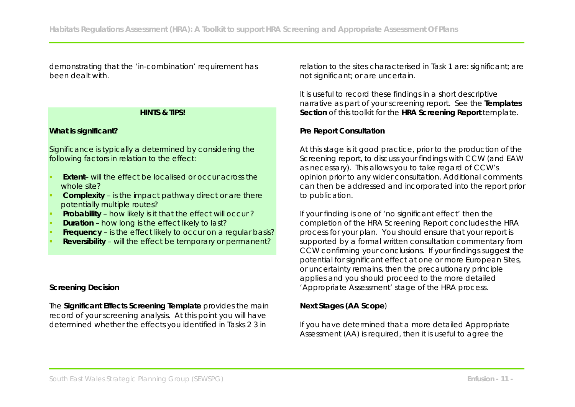demonstrating that the 'in-combination' requirement has been dealt with.

#### **HINTS & TIPS!**

#### **What is significant?**

Significance is typically a determined by considering the following factors in relation to the effect:

- **Extent** will the effect be localised or occur across the whole site?
- **Complexity** is the impact pathway direct or are there potentially multiple routes?
- **Probability** how likely is it that the effect will occur ?
- **Duration** how long is the effect likely to last?
- **Frequency** is the effect likely to occur on a regular basis?
- **Reversibility**  will the effect be temporary or permanent?

#### **Screening Decision**

The **Significant Effects Screening Template** provides the main record of your screening analysis. At this point you will have determined whether the effects you identified in Tasks 2 3 in

relation to the sites characterised in Task 1 are: significant; are not significant; or are uncertain.

It is useful to record these findings in a short descriptive narrative as part of your screening report. See the **Templates Section** of this toolkit for the **HRA Screening Report** template.

#### **Pre Report Consultation**

At this stage is it good practice, prior to the production of the Screening report, to discuss your findings with CCW (and EAW as necessary). This allows you to take regard of CCW's opinion prior to any wider consultation. Additional comments can then be addressed and incorporated into the report prior to publication.

If your finding is one of 'no significant effect' then the completion of the HRA Screening Report concludes the HRA process for your plan. You should ensure that your report is supported by a formal written consultation commentary from CCW confirming your conclusions. If your findings suggest the potential for significant effect at one or more European Sites, or uncertainty remains, then the precautionary principle applies and you should proceed to the more detailed 'Appropriate Assessment' stage of the HRA process.

**Next Stages (AA Scope**)

If you have determined that a more detailed Appropriate Assessment (AA) is required, then it is useful to agree the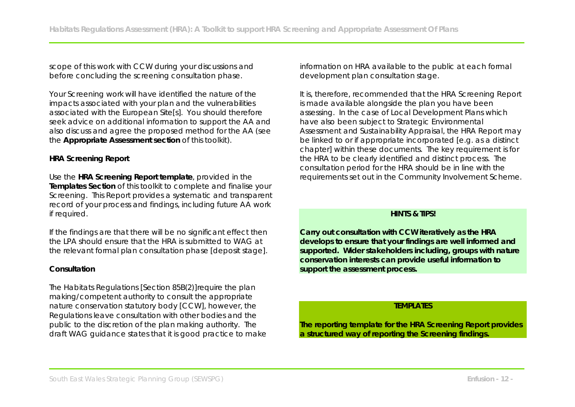scope of this work with CCW during your discussions and before concluding the screening consultation phase.

Your Screening work will have identified the nature of the impacts associated with your plan and the vulnerabilities associated with the European Site[s]. You should therefore seek advice on additional information to support the AA and also discuss and agree the proposed method for the AA (see the **Appropriate Assessment section** of this toolkit).

## **HRA Screening Report**

Use the **HRA Screening Report template**, provided in the **Templates Section** of this toolkit to complete and finalise your Screening. This Report provides a systematic and transparent record of your process and findings, including future AA work if required.

If the findings are that there will be no significant effect then the LPA should ensure that the HRA is submitted to WAG at the relevant formal plan consultation phase [deposit stage].

## **Consultation**

The Habitats Regulations [Section 85B(2)]require the plan making/competent authority to consult the appropriate nature conservation statutory body [CCW], however, the Regulations leave consultation with other bodies and the public to the discretion of the plan making authority. The draft WAG guidance states that it is good practice to make information on HRA available to the public at each formal development plan consultation stage.

It is, therefore, recommended that the HRA Screening Report is made available alongside the plan you have been assessing. In the case of Local Development Plans which have also been subject to Strategic Environmental Assessment and Sustainability Appraisal, the HRA Report may be linked to or if appropriate incorporated [e.g. as a distinct chapter] within these documents. The key requirement is for the HRA to be clearly identified and distinct process. The consultation period for the HRA should be in line with the requirements set out in the Community Involvement Scheme.

#### **HINTS & TIPS!**

**Carry out consultation with CCW iteratively as the HRA develops to ensure that your findings are well informed and supported. Wider stakeholders including, groups with nature conservation interests can provide useful information to support the assessment process.** 

## **TEMPLATES**

**The reporting template for the HRA Screening Report provides a structured way of reporting the Screening findings.**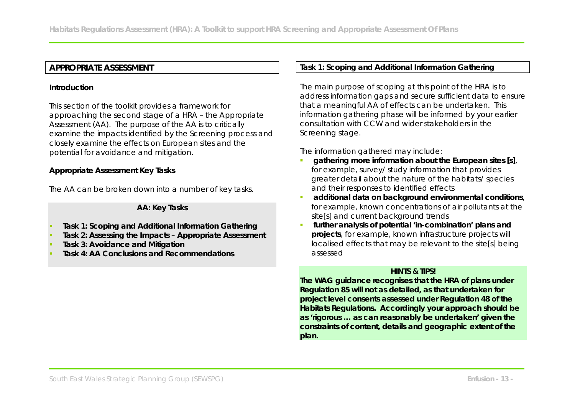# **APPROPRIATE ASSESSMENT**

#### **Introduction**

This section of the toolkit provides a framework for approaching the second stage of a HRA – the Appropriate Assessment (AA). The purpose of the AA is to critically examine the impacts identified by the Screening process and closely examine the effects on European sites and the potential for avoidance and mitigation.

**Appropriate Assessment Key Tasks**

The AA can be broken down into a number of key tasks.

**AA: Key Tasks**

- **Task 1: Scoping and Additional Information Gathering**
- **Task 2: Assessing the Impacts Appropriate Assessment**
- **Task 3: Avoidance and Mitigation**
- **Task 4: AA Conclusions and Recommendations**

**Task 1: Scoping and Additional Information Gathering**

The main purpose of scoping at this point of the HRA is to address information gaps and secure sufficient data to ensure that a meaningful AA of effects can be undertaken. This information gathering phase will be informed by your earlier consultation with CCW and wider stakeholders in the Screening stage.

The information gathered may include:

- *gathering more information about the European sites [s],* for example, survey/ study information that provides greater detail about the nature of the habitats/ species and their responses to identified effects
- *additional data on background environmental conditions*, for example, known concentrations of air pollutants at the site[s] and current background trends
- *further analysis of potential 'in-combination' plans and projects,* for example, known infrastructure projects will localised effects that may be relevant to the site[s] being assessed

#### **HINTS & TIPS!**

**The WAG guidance recognises that the HRA of plans under Regulation 85 will not as detailed, as that undertaken for project level consents assessed under Regulation 48 of the Habitats Regulations. Accordingly your approach should be as 'rigorous … as can reasonably be undertaken' given the constraints of content, details and geographic extent of the plan.**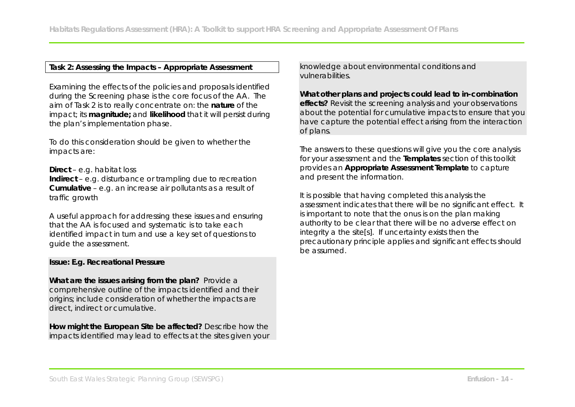#### **Task 2: Assessing the Impacts – Appropriate Assessment**

Examining the effects of the policies and proposals identified during the Screening phase is the core focus of the AA. The aim of Task 2 is to really concentrate on: the **nature** of the impact; its **magnitude;** and **likelihood** that it will persist during the plan's implementation phase.

To do this consideration should be given to whether the impacts are:

**Direct** – e.g. habitat loss

**Indirect** – e.g. disturbance or trampling due to recreation **Cumulative** – e.g. an increase air pollutants as a result of traffic growth

A useful approach for addressing these issues and ensuring that the AA is focused and systematic is to take each identified impact in turn and use a key set of questions to guide the assessment.

#### **Issue: E.g. Recreational Pressure**

**What are the issues arising from the plan?** Provide a comprehensive outline of the impacts identified and their origins; include consideration of whether the impacts are direct, indirect or cumulative.

**How might the European Site be affected?** Describe how the impacts identified may lead to effects at the sites given your knowledge about environmental conditions and vulnerabilities.

**What other plans and projects could lead to in-combination effects?** Revisit the screening analysis and your observations about the potential for cumulative impacts to ensure that you have capture the potential effect arising from the interaction of plans.

The answers to these questions will give you the core analysis for your assessment and the **Templates** section of this toolkit provides an **Appropriate Assessment Template** to capture and present the information.

It is possible that having completed this analysis the assessment indicates that there will be no significant effect. It is important to note that the onus is on the plan making authority to be *clear that there will be no adverse effect on integrity* a the site[s]. If uncertainty exists then the precautionary principle applies and significant effects should be assumed.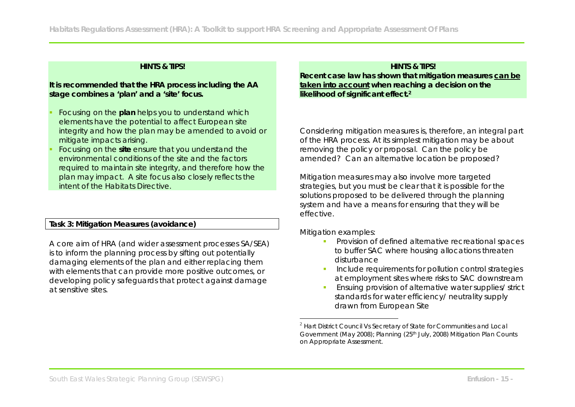#### **HINTS & TIPS!**

**It is recommended that the HRA process including the AA stage combines a 'plan' and a 'site' focus.** 

- Focusing on the **plan** helps you to understand which elements have the potential to affect European site integrity and how the plan may be amended to avoid or mitigate impacts arising.
- Focusing on the **site** ensure that you understand the environmental conditions of the site and the factors required to maintain site integrity, and therefore how the plan may impact. A site focus also closely reflects the intent of the Habitats Directive.

**Task 3: Mitigation Measures (avoidance)**

A core aim of HRA (and wider assessment processes SA/SEA) is to inform the planning process by sifting out potentially damaging elements of the plan and either replacing them with elements that can provide more positive outcomes, or developing policy safeguards that protect against damage at sensitive sites.

#### **HINTS & TIPS!**

**Recent case law has shown that mitigation measures can be taken into account when reaching a decision on the likelihood of significant effect.2**

Considering mitigation measures is, therefore, an integral part of the HRA process. At its simplest mitigation may be about removing the policy or proposal. Can the policy be amended? Can an alternative location be proposed?

Mitigation measures may also involve more targeted strategies, but you must be clear that it is possible for the solutions proposed to be delivered through the planning system and have a means for ensuring that they will be effective.

Mitigation examples:

<u>.</u>

- Provision of defined alternative recreational spaces to buffer SAC where housing allocations threaten disturbance
- **Include requirements for pollution control strategies** at employment sites where risks to SAC downstream
- Ensuing provision of alternative water supplies/ strict standards for water efficiency/ neutrality supply drawn from European Site

 $2$  Hart District Council Vs Secretary of State for Communities and Local Government (May 2008); Planning (25th July, 2008) Mitigation Plan Counts on Appropriate Assessment.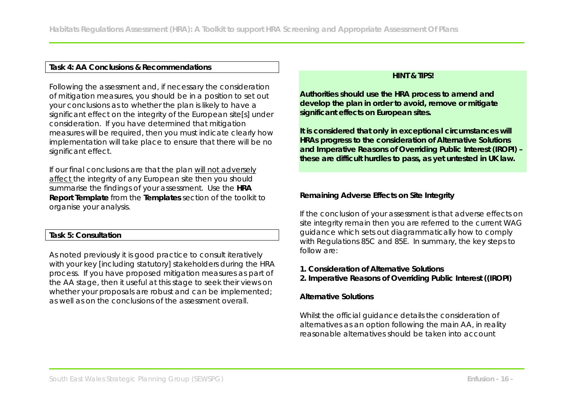# **Task 4: AA Conclusions & Recommendations**

Following the assessment and, if necessary the consideration of mitigation measures, you should be in a position to set out your conclusions as to whether the plan is likely to have a significant effect on the integrity of the European site[s] under consideration. If you have determined that mitigation measures will be required, then you must indicate clearly how implementation will take place to ensure that there will be no significant effect.

If our final conclusions are that the plan will not adversely affect the integrity of any European site then you should summarise the findings of your assessment. Use the **HRA Report Template** from the **Templates** section of the toolkit to organise your analysis.

#### **Task 5: Consultation**

As noted previously it is good practice to consult iteratively with your key [including statutory] stakeholders during the HRA process. If you have proposed mitigation measures as part of the AA stage, then it useful at this stage to seek their views on whether your proposals are robust and can be implemented; as well as on the conclusions of the assessment overall.

### **HINT & TIPS!**

**Authorities should use the HRA process to amend and develop the plan in order to avoid, remove or mitigate significant effects on European sites.** 

**It is considered that only in exceptional circumstances will HRAs progress to the consideration of Alternative Solutions and Imperative Reasons of Overriding Public Interest (IROPI) – these are difficult hurdles to pass, as yet untested in UK law.** 

**Remaining Adverse Effects on Site Integrity**

If the conclusion of your assessment is that adverse effects on site integrity remain then you are referred to the current WAG guidance which sets out diagrammatically how to comply with Regulations 85C and 85E. In summary, the key steps to follow are:

**1. Consideration of Alternative Solutions**

**2. Imperative Reasons of Overriding Public Interest ((IROPI)**

**Alternative Solutions**

Whilst the official guidance details the consideration of alternatives as an option following the main AA, in reality reasonable alternatives should be taken into account